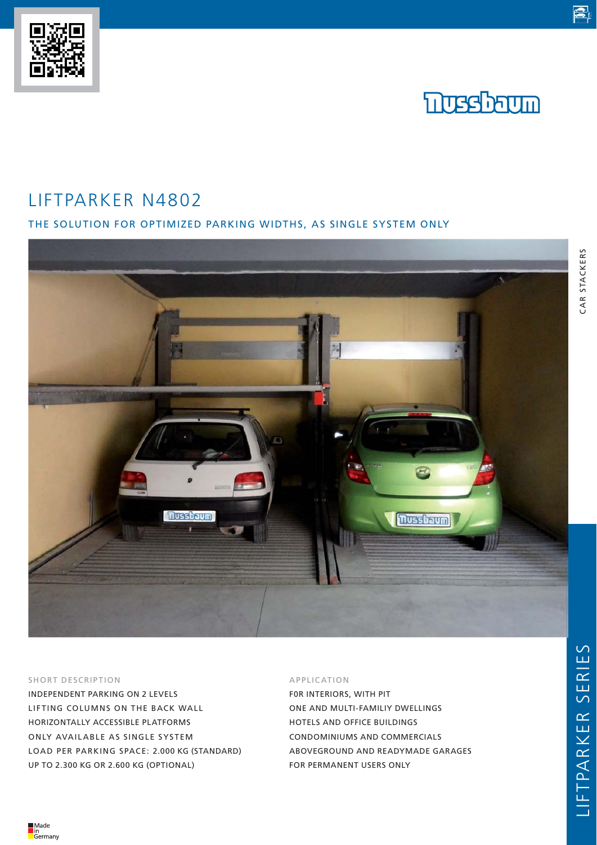# LIFTPARKER N4802

# THE SOLUTION FOR OPTIMIZED PARKING WIDTHS, AS SINGLE SYSTEM ONLY



#### SHORT DESCRIPTION

INDEPENDENT PARKING ON 2 LEVELS LIFTING COLUMNS ON THE BACK WALL HORIZONTALLY ACCESSIBLE PLATFORMS ONLY AVAILABLE AS SINGLE SYSTEM LOAD PER PARKING SPACE: 2.000 KG (STANDARD) UP TO 2.300 KG OR 2.600 KG (OPTIONAL)

### APPLICATION

F0R INTERIORS, WITH PIT ONE AND MULTI-FAMILIY DWELLINGS HOTELS AND OFFICE BUILDINGS CONDOMINIUMS AND COMMERCIALS ABOVEGROUND AND READYMADE GARAGES FOR PERMANENT USERS ONLY

CAR STACKERS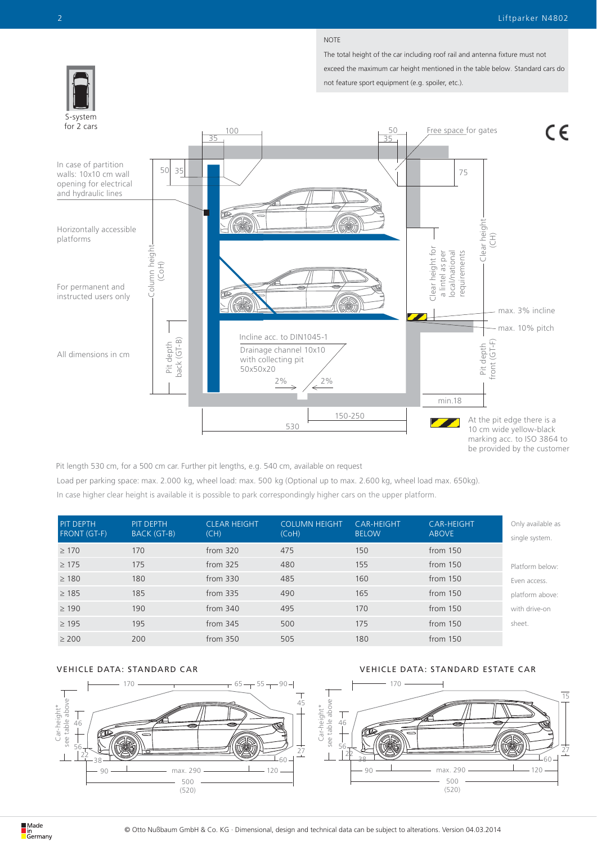#### NOTE

The total height of the car including roof rail and antenna fixture must not exceed the maximum car height mentioned in the table below. Standard cars do not feature sport equipment (e.g. spoiler, etc.).



Pit length 530 cm, for a 500 cm car. Further pit lengths, e.g. 540 cm, available on request

Load per parking space: max. 2.000 kg, wheel load: max. 500 kg (Optional up to max. 2.600 kg, wheel load max. 650kg). In case higher clear height is available it is possible to park correspondingly higher cars on the upper platform.

| <b>PIT DEPTH</b><br><b>FRONT (GT-F)</b> | PIT DEPTH<br>BACK (GT-B) | <b>CLEAR HEIGHT</b><br>(CH) | <b>COLUMN HEIGHT</b><br>(CoH) | <b>CAR-HEIGHT</b><br><b>BELOW</b> | <b>CAR-HEIGHT</b><br><b>ABOVE</b> | Only available as<br>single system. |
|-----------------------------------------|--------------------------|-----------------------------|-------------------------------|-----------------------------------|-----------------------------------|-------------------------------------|
| $\geq$ 170                              | 170                      | from $320$                  | 475                           | 150                               | from $150$                        |                                     |
| $\geq$ 175                              | 175                      | from 325                    | 480                           | 155                               | from $150$                        | Platform below:                     |
| $\geq$ 180                              | 180                      | from $330$                  | 485                           | 160                               | from $150$                        | Even access.                        |
| $\geq$ 185                              | 185                      | from 335                    | 490                           | 165                               | from 150                          | platform above:                     |
| $\geq$ 190                              | 190                      | from $340$                  | 495                           | 170                               | from $150$                        | with drive-on                       |
| $\geq$ 195                              | 195                      | from 345                    | 500                           | 175                               | from 150                          | sheet.                              |
| $\geq 200$                              | 200                      | from $350$                  | 505                           | 180                               | from $150$                        |                                     |

## VEHICLE DATA: STANDARD CAR VEHICLE DATA: STANDARD ESTATE CAR

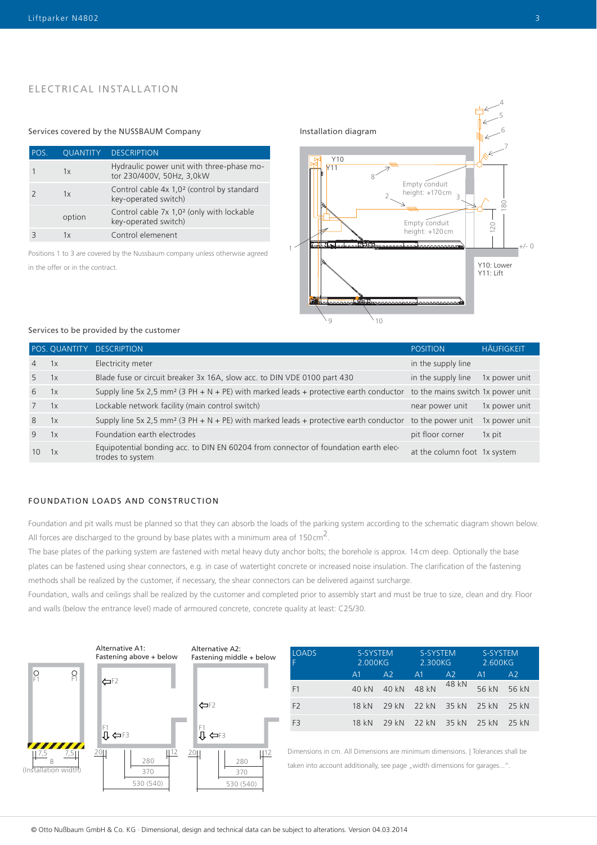# ELECTRICAL INSTALLATION

#### Services covered by the NUSSBAUM Company **Installation diagram**

| POS. | <b>OUANTITY</b> | <b>DESCRIPTION</b>                                                             |
|------|-----------------|--------------------------------------------------------------------------------|
|      | 1x              | Hydraulic power unit with three-phase mo-<br>tor 230/400V, 50Hz, 3,0kW         |
|      | 1x              | Control cable 4x 1,0 <sup>2</sup> (control by standard<br>key-operated switch) |
|      | option          | Control cable 7x 1,0 <sup>2</sup> (only with lockable<br>key-operated switch)  |
|      | 1x              | Control elemenent                                                              |

Positions 1 to 3 are covered by the Nussbaum company unless otherwise agreed



#### Services to be provided by the customer

|                |    | POS. QUANTITY DESCRIPTION                                                                                                           | <b>POSITION</b>              | <b>HÄUFIGKEIT</b> |
|----------------|----|-------------------------------------------------------------------------------------------------------------------------------------|------------------------------|-------------------|
| $\overline{4}$ | 1x | Electricity meter                                                                                                                   | in the supply line           |                   |
| 5              | 1x | Blade fuse or circuit breaker 3x 16A, slow acc. to DIN VDE 0100 part 430                                                            | in the supply line           | 1x power unit     |
| 6              | 1x | Supply line 5x 2,5 mm <sup>2</sup> (3 PH + N + PE) with marked leads + protective earth conductor to the mains switch 1x power unit |                              |                   |
| $7^{\circ}$    | 1x | Lockable network facility (main control switch)                                                                                     | near power unit              | 1x power unit     |
| 8              | 1x | Supply line 5x 2,5 mm <sup>2</sup> (3 PH + N + PE) with marked leads + protective earth conductor to the power unit                 |                              | 1x power unit     |
| 9              | 1x | Foundation earth electrodes                                                                                                         | pit floor corner             | 1x pit            |
| 10             | 1x | Equipotential bonding acc. to DIN EN 60204 from connector of foundation earth elec-<br>trodes to system                             | at the column foot 1x system |                   |

### FOUNDATION LOADS AND CONSTRUCTION

Foundation and pit walls must be planned so that they can absorb the loads of the parking system according to the schematic diagram shown below. All forces are discharged to the ground by base plates with a minimum area of 150 cm<sup>2</sup>.

The base plates of the parking system are fastened with metal heavy duty anchor bolts; the borehole is approx. 14cm deep. Optionally the base plates can be fastened using shear connectors, e.g. in case of watertight concrete or increased noise insulation. The clarification of the fastening methods shall be realized by the customer, if necessary, the shear connectors can be delivered against surcharge.

Foundation, walls and ceilings shall be realized by the customer and completed prior to assembly start and must be true to size, clean and dry. Floor and walls (below the entrance level) made of armoured concrete, concrete quality at least: C25/30.



| <b>LOADS</b>   | S-SYSTEM<br>2.000KG |       | S-SYSTEM.<br>2.300KG |       | S-SYSTEM<br>2.600KG |         |
|----------------|---------------------|-------|----------------------|-------|---------------------|---------|
|                | A1.                 | A2    | A1                   | A2    | A1                  | A2      |
| F1             | 40 kN               | 40 kN | 48 kN                | 48 kN | 56 kN               | 56 kN   |
| F <sub>2</sub> | 18 kN               | 29 kN | 22 kN 35 kN 25 kN    |       |                     | 25 kN   |
| F <sub>3</sub> | 18 kN               | 29 kN | 22 kN 35 kN 25 kN    |       |                     | $25$ kN |

Dimensions in cm. All Dimensions are minimum dimensions. | Tolerances shall be taken into account additionally, see page "width dimensions for garages...".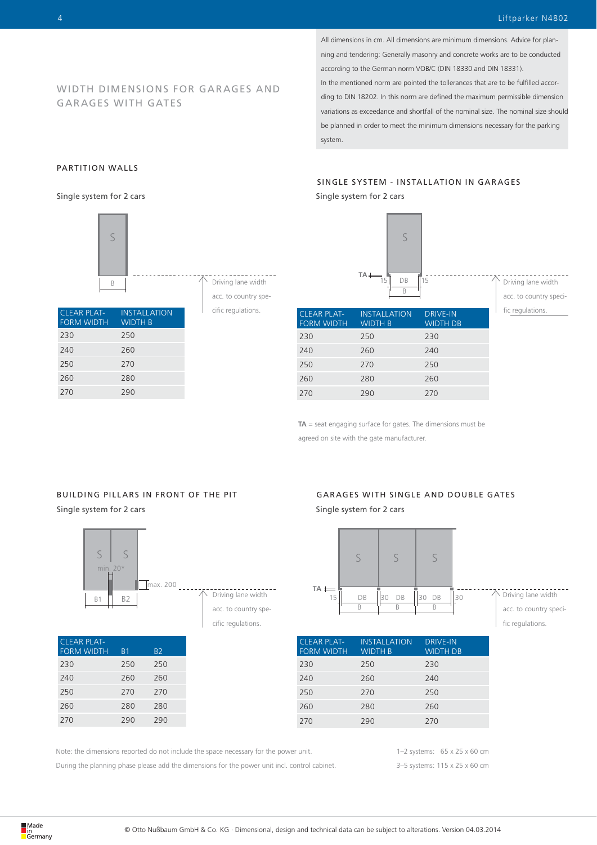Driving lane width acc. to country specific regulations.

All dimensions in cm. All dimensions are minimum dimensions. Advice for planning and tendering: Generally masonry and concrete works are to be conducted according to the German norm VOB/C (DIN 18330 and DIN 18331). In the mentioned norm are pointed the tollerances that are to be fulfilled according to DIN 18202. In this norm are defined the maximum permissible dimension variations as exceedance and shortfall of the nominal size. The nominal size should be planned in order to meet the minimum dimensions necessary for the parking

system.

#### PARTITION WALLS

GAR AGES WITH GATES

Single system for 2 cars



WIDTH DIMENSIONS FOR GARAGES AND

| <b>CLEAR PLAT-</b><br><b>FORM WIDTH</b> | <b>INSTALLATION</b><br><b>WIDTH B</b> |
|-----------------------------------------|---------------------------------------|
| 230                                     | 250                                   |
| 240                                     | 260                                   |
| 250                                     | 270                                   |
| 260                                     | 280                                   |
| 270                                     | 290                                   |

cific regulations.

CLEAR PLAT-FORM WIDTH **INSTALLATION** WIDTH B DRIVE-IN WIDTH DB 230 250 230 240 260 240 250 270 250 260 280 260 270 290 270

B  $DR$   $\overline{115}$ 

 $\varsigma$ 

**TA**

**TA** = seat engaging surface for gates. The dimensions must be agreed on site with the gate manufacturer.

## Single system for 2 cars BUILDING PILLARS IN FRONT OF THE PIT

CLEAR PLAT-

FORM WIDTH B1 B2 230 250 250 240 260 260 250 270 270 260 280 280 270 290 290



| GARAGES WITH SINGLE AND DOUBLE GATES |  |
|--------------------------------------|--|
| Single system for 2 cars             |  |



| <b>CLEAR PLAT-</b><br><b>FORM WIDTH</b> | <b>INSTALLATION</b><br><b>WIDTH B</b> | <b>DRIVE-IN</b><br><b>WIDTH DB</b> |
|-----------------------------------------|---------------------------------------|------------------------------------|
| 230                                     | 250                                   | 230                                |
| 240                                     | 260                                   | 240                                |
| 250                                     | 270                                   | 250                                |
| 260                                     | 280                                   | 260                                |
| 270                                     | 290                                   | 270                                |

Note: the dimensions reported do not include the space necessary for the power unit.

During the planning phase please add the dimensions for the power unit incl. control cabinet.

1–2 systems: 65 x 25 x 60 cm 3–5 systems: 115 x 25 x 60 cm

SINGLE SYSTEM - INSTALLATION IN GARAGES Single system for 2 cars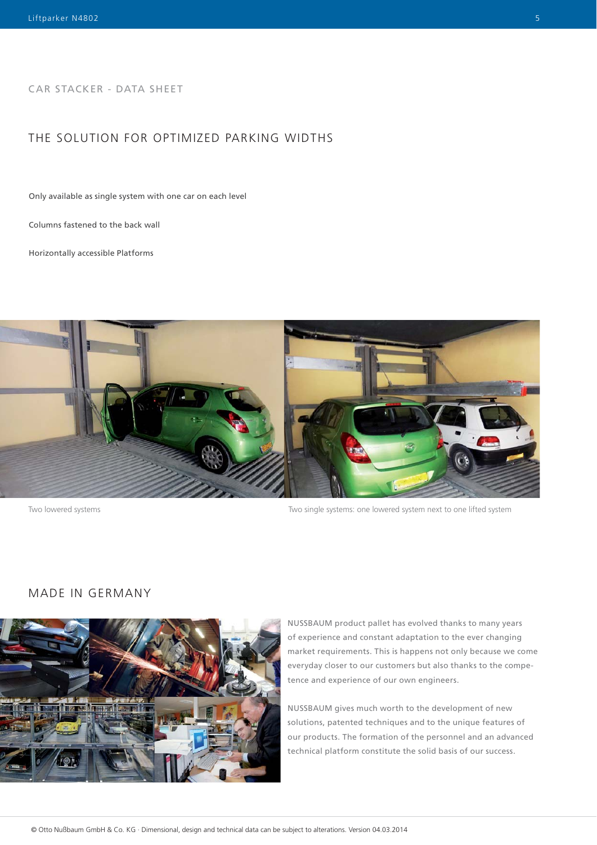CAR STACKER - DATA SHEET

# THE SOLUTION FOR OPTIMIZED PARKING WIDTHS

Only available as single system with one car on each level

Columns fastened to the back wall

Horizontally accessible Platforms



Two lowered systems Two single systems: one lowered system next to one lifted system

# MADE IN GERMANY



NUSSBAUM product pallet has evolved thanks to many years of experience and constant adaptation to the ever changing market requirements. This is happens not only because we come everyday closer to our customers but also thanks to the competence and experience of our own engineers.

NUSSBAUM gives much worth to the development of new solutions, patented techniques and to the unique features of our products. The formation of the personnel and an advanced technical platform constitute the solid basis of our success.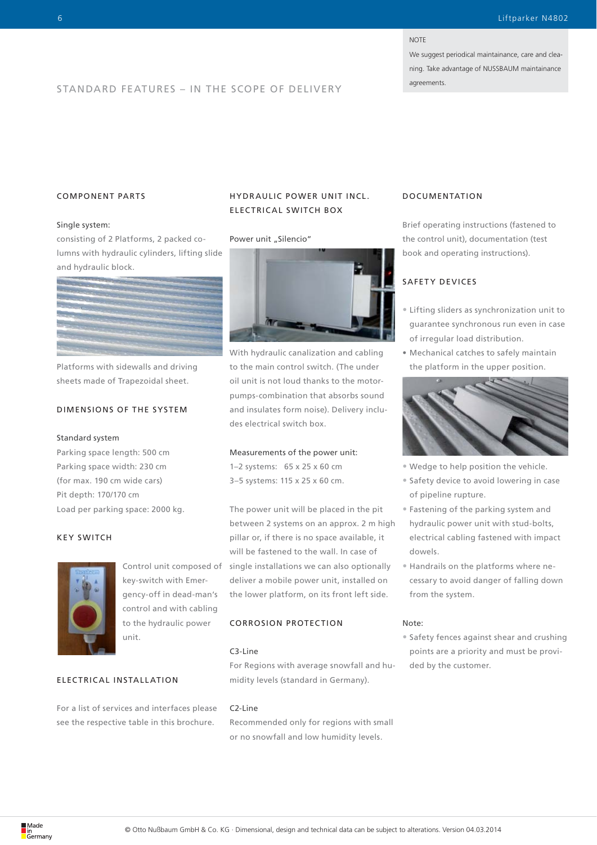#### **NOTE**

We suggest periodical maintainance, care and cleaning. Take advantage of NUSSBAUM maintainance

# agreements. STANDARD FEATURES – IN THE SCOPE OF DELIVERY

#### COMPONENT PARTS

#### Single system:

consisting of 2 Platforms, 2 packed columns with hydraulic cylinders, lifting slide and hydraulic block.



Platforms with sidewalls and driving sheets made of Trapezoidal sheet.

#### DIMENSIONS OF THE SYSTEM

#### Standard system

Parking space length: 500 cm Parking space width: 230 cm (for max. 190 cm wide cars) Pit depth: 170/170 cm Load per parking space: 2000 kg.

#### KEY SWITCH



Control unit composed of key-switch with Emergency-off in dead-man's control and with cabling to the hydraulic power unit.

#### ELEC TRIC AL INSTALL ATION

For a list of services and interfaces please see the respective table in this brochure.

# HYDR AULIC POWER UNIT INCL. ELECTRICAL SWITCH BOX

#### Power unit "Silencio"



With hydraulic canalization and cabling to the main control switch. (The under oil unit is not loud thanks to the motorpumps-combination that absorbs sound and insulates form noise). Delivery includes electrical switch box.

#### Measurements of the power unit:

1–2 systems: 65 x 25 x 60 cm 3–5 systems: 115 x 25 x 60 cm.

The power unit will be placed in the pit between 2 systems on an approx. 2 m high pillar or, if there is no space available, it will be fastened to the wall. In case of single installations we can also optionally deliver a mobile power unit, installed on the lower platform, on its front left side.

### CORROSION PROTECTION

#### C3-Line

For Regions with average snowfall and humidity levels (standard in Germany).

#### C2-Line

Recommended only for regions with small or no snowfall and low humidity levels.

#### DOCUMENTATION

Brief operating instructions (fastened to the control unit), documentation (test book and operating instructions).

# SAFETY DEVICES

- Lifting sliders as synchronization unit to guarantee synchronous run even in case of irregular load distribution.
- Mechanical catches to safely maintain the platform in the upper position.



- Wedge to help position the vehicle.
- Safety device to avoid lowering in case of pipeline rupture.
- Fastening of the parking system and hydraulic power unit with stud-bolts, electrical cabling fastened with impact dowels.
- Handrails on the platforms where necessary to avoid danger of falling down from the system.

#### Note:

• Safety fences against shear and crushing points are a priority and must be provided by the customer.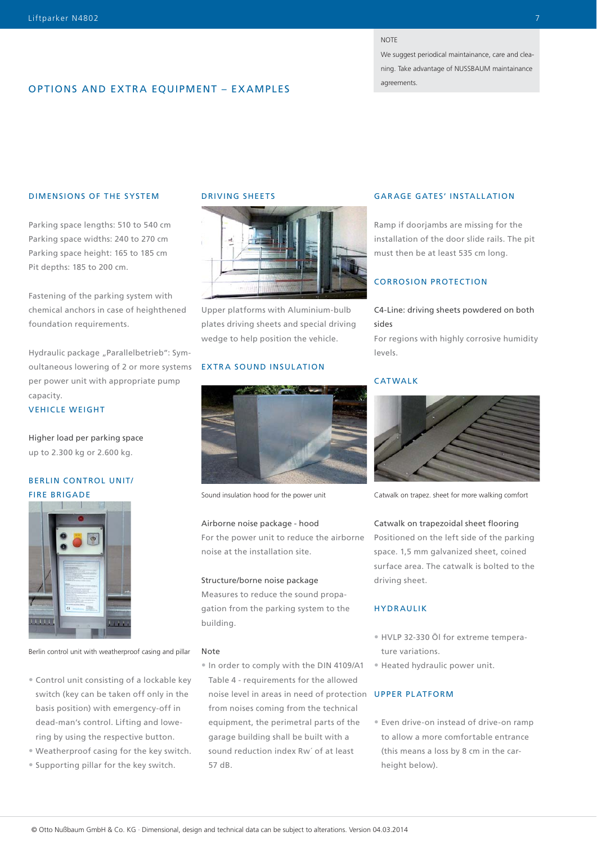#### **NOTE**

We suggest periodical maintainance, care and cleaning. Take advantage of NUSSBAUM maintainance

# **OPTIONS AND EXTRA EQUIPMENT – EXAMPLES**

#### DIMENSIONS OF THE SYSTEM

Parking space lengths: 510 to 540 cm Parking space widths: 240 to 270 cm Parking space height: 165 to 185 cm Pit depths: 185 to 200 cm.

Fastening of the parking system with chemical anchors in case of heighthened foundation requirements.

Hydraulic package "Parallelbetrieb": Symoultaneous lowering of 2 or more systems per power unit with appropriate pump capacity.

#### VEHICLE WEIGHT

Higher load per parking space up to 2.300 kg or 2.600 kg.

# BERLIN CONTROL UNIT/ FIRE BRIGADE



Berlin control unit with weatherproof casing and pillar

- Control unit consisting of a lockable key switch (key can be taken off only in the basis position) with emergency-off in dead-man's control. Lifting and lowering by using the respective button.
- Weatherproof casing for the key switch.
- Supporting pillar for the key switch.

#### DRIVING SHEETS



Upper platforms with Aluminium-bulb plates driving sheets and special driving wedge to help position the vehicle.

#### EXTRA SOUND INSULATION



Sound insulation hood for the power unit

#### Airborne noise package - hood

For the power unit to reduce the airborne noise at the installation site.

#### Structure/borne noise package

Measures to reduce the sound propagation from the parking system to the building.

#### Note

• In order to comply with the DIN 4109/A1 Table 4 - requirements for the allowed noise level in areas in need of protection UPPER PLATFORM from noises coming from the technical equipment, the perimetral parts of the garage building shall be built with a sound reduction index Rw´ of at least 57 dB.

#### GARAGE GATES' INSTALLATION

Ramp if doorjambs are missing for the installation of the door slide rails. The pit must then be at least 535 cm long.

# CORROSION PROTECTION

#### C4-Line: driving sheets powdered on both sides

For regions with highly corrosive humidity levels.

#### CATWALK



Catwalk on trapez. sheet for more walking comfort

#### Catwalk on trapezoidal sheet flooring

Positioned on the left side of the parking space. 1,5 mm galvanized sheet, coined surface area. The catwalk is bolted to the driving sheet.

#### HYDRAULIK

- HVLP 32-330 Öl for extreme temperature variations.
- Heated hydraulic power unit.

• Even drive-on instead of drive-on ramp to allow a more comfortable entrance (this means a loss by 8 cm in the carheight below).